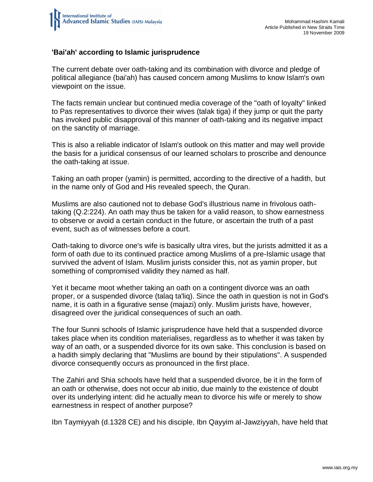

## **'Bai'ah' according to Islamic jurisprudence**

The current debate over oath-taking and its combination with divorce and pledge of political allegiance (bai'ah) has caused concern among Muslims to know Islam's own viewpoint on the issue.

The facts remain unclear but continued media coverage of the "oath of loyalty" linked to Pas representatives to divorce their wives (talak tiga) if they jump or quit the party has invoked public disapproval of this manner of oath-taking and its negative impact on the sanctity of marriage.

This is also a reliable indicator of Islam's outlook on this matter and may well provide the basis for a juridical consensus of our learned scholars to proscribe and denounce the oath-taking at issue.

Taking an oath proper (yamin) is permitted, according to the directive of a hadith, but in the name only of God and His revealed speech, the Quran.

Muslims are also cautioned not to debase God's illustrious name in frivolous oathtaking (Q.2:224). An oath may thus be taken for a valid reason, to show earnestness to observe or avoid a certain conduct in the future, or ascertain the truth of a past event, such as of witnesses before a court.

Oath-taking to divorce one's wife is basically ultra vires, but the jurists admitted it as a form of oath due to its continued practice among Muslims of a pre-Islamic usage that survived the advent of Islam. Muslim jurists consider this, not as yamin proper, but something of compromised validity they named as half.

Yet it became moot whether taking an oath on a contingent divorce was an oath proper, or a suspended divorce (talaq ta'liq). Since the oath in question is not in God's name, it is oath in a figurative sense (majazi) only. Muslim jurists have, however, disagreed over the juridical consequences of such an oath.

The four Sunni schools of Islamic jurisprudence have held that a suspended divorce takes place when its condition materialises, regardless as to whether it was taken by way of an oath, or a suspended divorce for its own sake. This conclusion is based on a hadith simply declaring that "Muslims are bound by their stipulations". A suspended divorce consequently occurs as pronounced in the first place.

The Zahiri and Shia schools have held that a suspended divorce, be it in the form of an oath or otherwise, does not occur ab initio, due mainly to the existence of doubt over its underlying intent: did he actually mean to divorce his wife or merely to show earnestness in respect of another purpose?

Ibn Taymiyyah (d.1328 CE) and his disciple, Ibn Qayyim al-Jawziyyah, have held that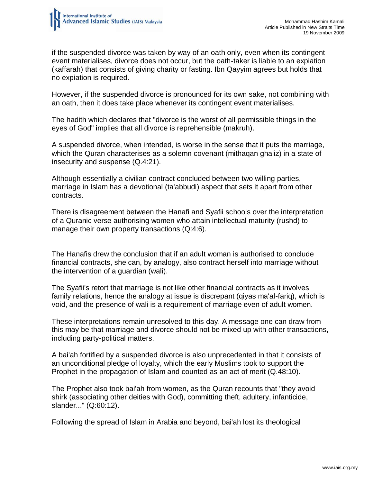

if the suspended divorce was taken by way of an oath only, even when its contingent event materialises, divorce does not occur, but the oath-taker is liable to an expiation (kaffarah) that consists of giving charity or fasting. Ibn Qayyim agrees but holds that no expiation is required.

However, if the suspended divorce is pronounced for its own sake, not combining with an oath, then it does take place whenever its contingent event materialises.

The hadith which declares that "divorce is the worst of all permissible things in the eyes of God" implies that all divorce is reprehensible (makruh).

A suspended divorce, when intended, is worse in the sense that it puts the marriage, which the Quran characterises as a solemn covenant (mithaqan ghaliz) in a state of insecurity and suspense (Q.4:21).

Although essentially a civilian contract concluded between two willing parties, marriage in Islam has a devotional (ta'abbudi) aspect that sets it apart from other contracts.

There is disagreement between the Hanafi and Syafii schools over the interpretation of a Quranic verse authorising women who attain intellectual maturity (rushd) to manage their own property transactions (Q:4:6).

The Hanafis drew the conclusion that if an adult woman is authorised to conclude financial contracts, she can, by analogy, also contract herself into marriage without the intervention of a guardian (wali).

The Syafii's retort that marriage is not like other financial contracts as it involves family relations, hence the analogy at issue is discrepant (qiyas ma'al-fariq), which is void, and the presence of wali is a requirement of marriage even of adult women.

These interpretations remain unresolved to this day. A message one can draw from this may be that marriage and divorce should not be mixed up with other transactions, including party-political matters.

A bai'ah fortified by a suspended divorce is also unprecedented in that it consists of an unconditional pledge of loyalty, which the early Muslims took to support the Prophet in the propagation of Islam and counted as an act of merit (Q.48:10).

The Prophet also took bai'ah from women, as the Quran recounts that "they avoid shirk (associating other deities with God), committing theft, adultery, infanticide, slander..." (Q:60:12).

Following the spread of Islam in Arabia and beyond, bai'ah lost its theological